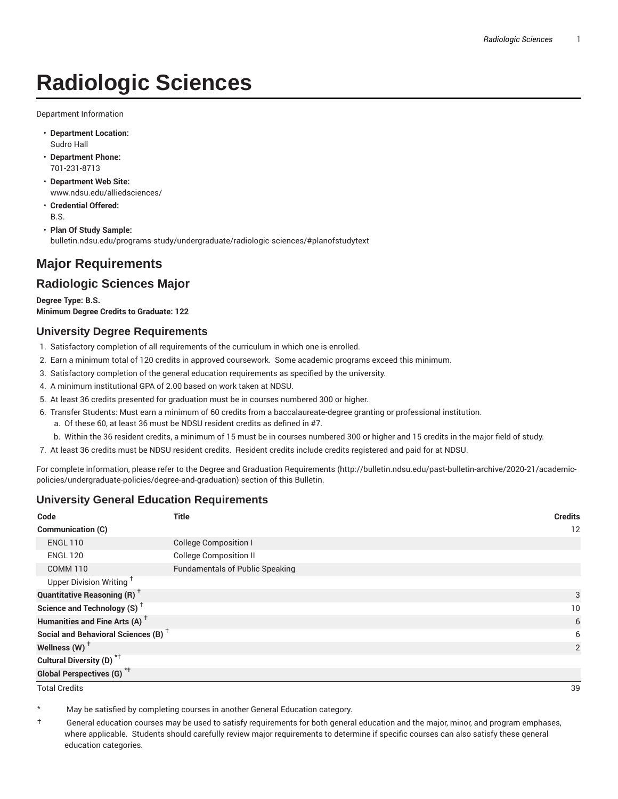# **Radiologic Sciences**

Department Information

- **Department Location:** Sudro Hall
- **Department Phone:** 701-231-8713
- **Department Web Site:** www.ndsu.edu/alliedsciences/
- **Credential Offered:** B.S.
- **Plan Of Study Sample:** bulletin.ndsu.edu/programs-study/undergraduate/radiologic-sciences/#planofstudytext

## **Major Requirements**

### **Radiologic Sciences Major**

**Degree Type: B.S. Minimum Degree Credits to Graduate: 122**

#### **University Degree Requirements**

- 1. Satisfactory completion of all requirements of the curriculum in which one is enrolled.
- 2. Earn a minimum total of 120 credits in approved coursework. Some academic programs exceed this minimum.
- 3. Satisfactory completion of the general education requirements as specified by the university.
- 4. A minimum institutional GPA of 2.00 based on work taken at NDSU.
- 5. At least 36 credits presented for graduation must be in courses numbered 300 or higher.
- 6. Transfer Students: Must earn a minimum of 60 credits from a baccalaureate-degree granting or professional institution.
	- a. Of these 60, at least 36 must be NDSU resident credits as defined in #7.
	- b. Within the 36 resident credits, a minimum of 15 must be in courses numbered 300 or higher and 15 credits in the major field of study.
- 7. At least 36 credits must be NDSU resident credits. Resident credits include credits registered and paid for at NDSU.

For complete information, please refer to the Degree and Graduation Requirements (http://bulletin.ndsu.edu/past-bulletin-archive/2020-21/academicpolicies/undergraduate-policies/degree-and-graduation) section of this Bulletin.

#### **University General Education Requirements**

| Code                                            | <b>Title</b>                           | <b>Credits</b> |
|-------------------------------------------------|----------------------------------------|----------------|
| Communication (C)                               |                                        | 12             |
| <b>ENGL 110</b>                                 | <b>College Composition I</b>           |                |
| <b>ENGL 120</b>                                 | <b>College Composition II</b>          |                |
| <b>COMM 110</b>                                 | <b>Fundamentals of Public Speaking</b> |                |
| Upper Division Writing <sup>+</sup>             |                                        |                |
| <b>Quantitative Reasoning (R)</b> <sup>†</sup>  |                                        | 3              |
| Science and Technology (S) <sup>+</sup>         |                                        | 10             |
| Humanities and Fine Arts (A) <sup>+</sup>       |                                        | 6              |
| Social and Behavioral Sciences (B) <sup>+</sup> |                                        | 6              |
| Wellness $(W)$ <sup>+</sup>                     |                                        | 2              |
| Cultural Diversity (D) <sup>*†</sup>            |                                        |                |
| <b>Global Perspectives (G)<sup>*†</sup></b>     |                                        |                |

Total Credits 39

May be satisfied by completing courses in another General Education category.

† General education courses may be used to satisfy requirements for both general education and the major, minor, and program emphases, where applicable. Students should carefully review major requirements to determine if specific courses can also satisfy these general education categories.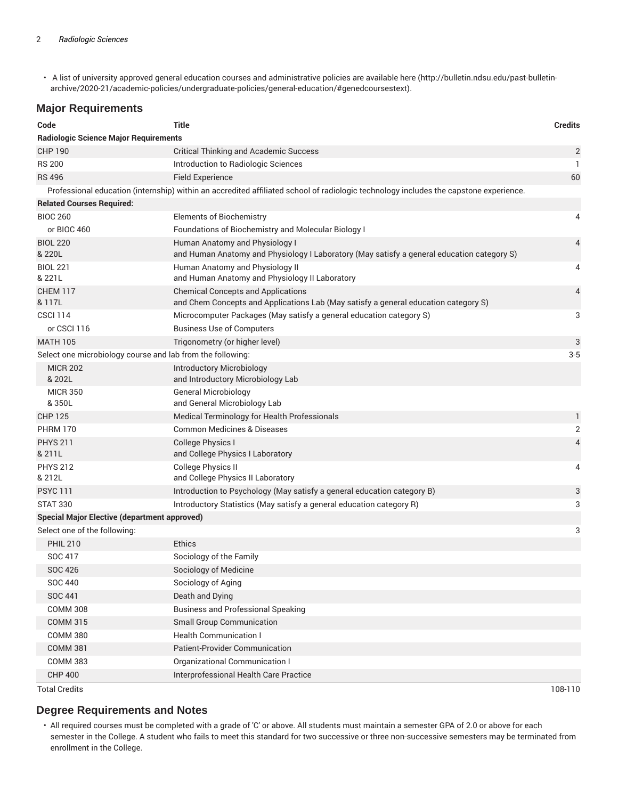• A list of university approved general education courses and administrative policies are available here (http://bulletin.ndsu.edu/past-bulletinarchive/2020-21/academic-policies/undergraduate-policies/general-education/#genedcoursestext).

#### **Major Requirements**

| Code                                                       | <b>Title</b>                                                                                                                          | <b>Credits</b> |  |
|------------------------------------------------------------|---------------------------------------------------------------------------------------------------------------------------------------|----------------|--|
| <b>Radiologic Science Major Requirements</b>               |                                                                                                                                       |                |  |
| <b>CHP 190</b>                                             | <b>Critical Thinking and Academic Success</b>                                                                                         | 2              |  |
| <b>RS 200</b>                                              | Introduction to Radiologic Sciences                                                                                                   | $\mathbf{1}$   |  |
| <b>RS 496</b>                                              | <b>Field Experience</b>                                                                                                               | 60             |  |
|                                                            | Professional education (internship) within an accredited affiliated school of radiologic technology includes the capstone experience. |                |  |
| <b>Related Courses Required:</b>                           |                                                                                                                                       |                |  |
| <b>BIOC 260</b>                                            | <b>Elements of Biochemistry</b>                                                                                                       | 4              |  |
| or BIOC 460                                                | Foundations of Biochemistry and Molecular Biology I                                                                                   |                |  |
| <b>BIOL 220</b><br>& 220L                                  | Human Anatomy and Physiology I<br>and Human Anatomy and Physiology I Laboratory (May satisfy a general education category S)          | 4              |  |
| <b>BIOL 221</b><br>& 221L                                  | Human Anatomy and Physiology II<br>and Human Anatomy and Physiology II Laboratory                                                     | 4              |  |
| CHEM 117<br>& 117L                                         | <b>Chemical Concepts and Applications</b><br>and Chem Concepts and Applications Lab (May satisfy a general education category S)      | 4              |  |
| <b>CSCI 114</b>                                            | Microcomputer Packages (May satisfy a general education category S)                                                                   | 3              |  |
| or CSCI 116                                                | <b>Business Use of Computers</b>                                                                                                      |                |  |
| <b>MATH 105</b>                                            | Trigonometry (or higher level)                                                                                                        | 3              |  |
| Select one microbiology course and lab from the following: |                                                                                                                                       |                |  |
| <b>MICR 202</b><br>& 202L                                  | Introductory Microbiology<br>and Introductory Microbiology Lab                                                                        |                |  |
| <b>MICR 350</b><br>& 350L                                  | <b>General Microbiology</b><br>and General Microbiology Lab                                                                           |                |  |
| <b>CHP 125</b>                                             | Medical Terminology for Health Professionals                                                                                          | 1              |  |
| <b>PHRM 170</b>                                            | <b>Common Medicines &amp; Diseases</b>                                                                                                | $\overline{2}$ |  |
| <b>PHYS 211</b><br>& 211L                                  | College Physics I<br>and College Physics I Laboratory                                                                                 | 4              |  |
| <b>PHYS 212</b><br>& 212L                                  | <b>College Physics II</b><br>and College Physics II Laboratory                                                                        | 4              |  |
| <b>PSYC 111</b>                                            | Introduction to Psychology (May satisfy a general education category B)                                                               | 3              |  |
| <b>STAT 330</b>                                            | Introductory Statistics (May satisfy a general education category R)                                                                  | 3              |  |
| Special Major Elective (department approved)               |                                                                                                                                       |                |  |
| Select one of the following:                               |                                                                                                                                       | 3              |  |
| <b>PHIL 210</b>                                            | <b>Ethics</b>                                                                                                                         |                |  |
| SOC 417                                                    | Sociology of the Family                                                                                                               |                |  |
| <b>SOC 426</b>                                             | Sociology of Medicine                                                                                                                 |                |  |
| <b>SOC 440</b>                                             | Sociology of Aging                                                                                                                    |                |  |
| <b>SOC 441</b>                                             | Death and Dying                                                                                                                       |                |  |
| <b>COMM 308</b>                                            | <b>Business and Professional Speaking</b>                                                                                             |                |  |
| <b>COMM 315</b>                                            | <b>Small Group Communication</b>                                                                                                      |                |  |
| <b>COMM 380</b>                                            | <b>Health Communication I</b>                                                                                                         |                |  |
| <b>COMM 381</b>                                            | <b>Patient-Provider Communication</b>                                                                                                 |                |  |
| <b>COMM 383</b>                                            | Organizational Communication I                                                                                                        |                |  |
| <b>CHP 400</b>                                             | Interprofessional Health Care Practice                                                                                                |                |  |

Total Credits 108-110

#### **Degree Requirements and Notes**

• All required courses must be completed with a grade of 'C' or above. All students must maintain a semester GPA of 2.0 or above for each semester in the College. A student who fails to meet this standard for two successive or three non-successive semesters may be terminated from enrollment in the College.